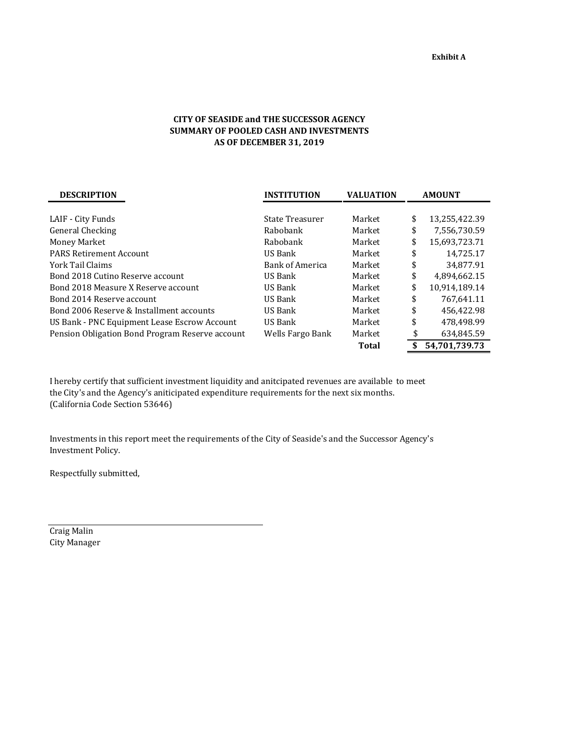## **CITY OF SEASIDE and THE SUCCESSOR AGENCY SUMMARY OF POOLED CASH AND INVESTMENTS AS OF DECEMBER 31, 2019**

| <b>DESCRIPTION</b>                              | <b>INSTITUTION</b>     | <b>VALUATION</b> | <b>AMOUNT</b>       |  |  |
|-------------------------------------------------|------------------------|------------------|---------------------|--|--|
|                                                 |                        |                  |                     |  |  |
| LAIF - City Funds                               | State Treasurer        | Market           | \$<br>13,255,422.39 |  |  |
| General Checking                                | Rabobank               | Market           | \$<br>7,556,730.59  |  |  |
| Money Market                                    | Rabobank               | Market           | \$<br>15.693.723.71 |  |  |
| <b>PARS Retirement Account</b>                  | US Bank                | Market           | \$<br>14,725.17     |  |  |
| York Tail Claims                                | <b>Bank of America</b> | Market           | \$<br>34,877.91     |  |  |
| Bond 2018 Cutino Reserve account                | US Bank                | Market           | \$<br>4,894,662.15  |  |  |
| Bond 2018 Measure X Reserve account             | US Bank                | Market           | \$<br>10,914,189.14 |  |  |
| Bond 2014 Reserve account                       | US Bank                | Market           | \$<br>767,641.11    |  |  |
| Bond 2006 Reserve & Installment accounts        | US Bank                | Market           | \$<br>456.422.98    |  |  |
| US Bank - PNC Equipment Lease Escrow Account    | US Bank                | Market           | \$<br>478,498.99    |  |  |
| Pension Obligation Bond Program Reserve account | Wells Fargo Bank       | Market           | \$<br>634,845.59    |  |  |
|                                                 |                        | Total            | \$<br>54,701,739.73 |  |  |

I hereby certify that sufficient investment liquidity and anitcipated revenues are available to meet the City's and the Agency's aniticipated expenditure requirements for the next six months. (California Code Section 53646)

Investments in this report meet the requirements of the City of Seaside's and the Successor Agency's Investment Policy.

Respectfully submitted,

Craig Malin City Manager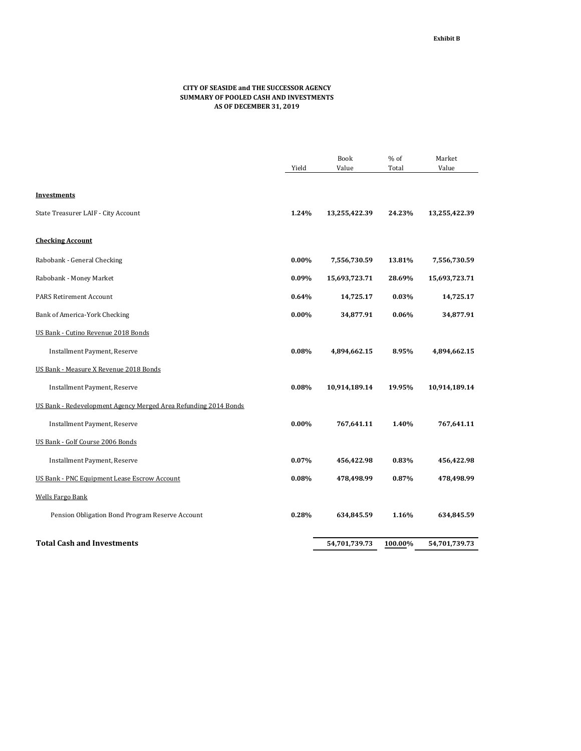## **CITY OF SEASIDE and THE SUCCESSOR AGENCY SUMMARY OF POOLED CASH AND INVESTMENTS AS OF DECEMBER 31, 2019**

|                                                                 |          | <b>Book</b>   | $%$ of  | Market        |
|-----------------------------------------------------------------|----------|---------------|---------|---------------|
|                                                                 | Yield    | Value         | Total   | Value         |
|                                                                 |          |               |         |               |
| <b>Investments</b>                                              |          |               |         |               |
| State Treasurer LAIF - City Account                             | 1.24%    | 13,255,422.39 | 24.23%  | 13,255,422.39 |
| <b>Checking Account</b>                                         |          |               |         |               |
| Rabobank - General Checking                                     | $0.00\%$ | 7,556,730.59  | 13.81%  | 7,556,730.59  |
| Rabobank - Money Market                                         | 0.09%    | 15,693,723.71 | 28.69%  | 15,693,723.71 |
| <b>PARS Retirement Account</b>                                  | 0.64%    | 14,725.17     | 0.03%   | 14,725.17     |
| Bank of America-York Checking                                   | 0.00%    | 34,877.91     | 0.06%   | 34,877.91     |
| US Bank - Cutino Revenue 2018 Bonds                             |          |               |         |               |
| Installment Payment, Reserve                                    | 0.08%    | 4,894,662.15  | 8.95%   | 4,894,662.15  |
| US Bank - Measure X Revenue 2018 Bonds                          |          |               |         |               |
| Installment Payment, Reserve                                    | 0.08%    | 10,914,189.14 | 19.95%  | 10,914,189.14 |
| US Bank - Redevelopment Agency Merged Area Refunding 2014 Bonds |          |               |         |               |
| <b>Installment Payment, Reserve</b>                             | $0.00\%$ | 767,641.11    | 1.40%   | 767,641.11    |
| US Bank - Golf Course 2006 Bonds                                |          |               |         |               |
| Installment Payment, Reserve                                    | 0.07%    | 456,422.98    | 0.83%   | 456,422.98    |
| US Bank - PNC Equipment Lease Escrow Account                    | 0.08%    | 478,498.99    | 0.87%   | 478,498.99    |
| <b>Wells Fargo Bank</b>                                         |          |               |         |               |
| Pension Obligation Bond Program Reserve Account                 | 0.28%    | 634,845.59    | 1.16%   | 634,845.59    |
| <b>Total Cash and Investments</b>                               |          | 54,701,739.73 | 100.00% | 54,701,739.73 |
|                                                                 |          |               |         |               |